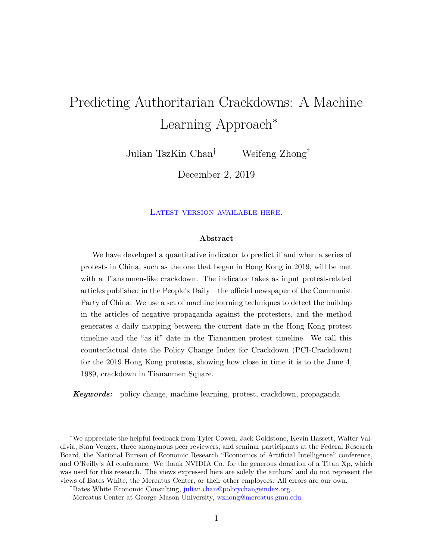# Predicting Authoritarian Crackdowns: A Machine Learning Approach<sup>∗</sup>

Julian TszKin Chan† Weifeng Zhong‡

December 2, 2019

LATEST VERSION AVAILABLE HERE.

#### **Abstract**

We have developed a quantitative indicator to predict if and when a series of protests in China, such as the one that began in Hong Kong in 2019, will be met with a Tiananmen-like crackdown. The indicator takes as input protest-related articles published in the People's Daily—the official newspaper of the Communist Party of China. We use a set of machine learning techniques to detect the buildup in the articles of negative propaganda against the protesters, and the method generates a daily mapping between the current date in the Hong Kong protest timeline and the "as if" date in the Tiananmen protest timeline. We call this counterfactual date the Policy Change Index for Crackdown (PCI-Crackdown) for the 2019 Hong Kong protests, showing how close in time it is to the June 4, 1989, crackdown in Tiananmen Square.

*Keywords:* policy change, machine learning, protest, crackdown, propaganda

<sup>∗</sup>We appreciate the helpful feedback from Tyler Cowen, Jack Goldstone, Kevin Hassett, Walter Valdivia, Stan Veuger, three anonymous peer reviewers, and seminar participants at the Federal Research Board, the National Bureau of Economic Research "Economics of Artificial Intelligence" conference, and O'Reilly's AI conference. We thank NVIDIA Co. for the generous donation of a Titan Xp, which was used for this research. The views expressed here are solely the authors' and do not represent the views of Bates White, the Mercatus Center, or their other employees. All errors are our own.

<sup>†</sup>Bates White Economic Consulting, [julian.chan@policychangeindex.org.](mailto:julian.chan@policychangeindex.org)

<sup>‡</sup>Mercatus Center at George Mason University, [wzhong@mercatus.gmu.edu.](mailto:wzhong@mercatus.gmu.edu)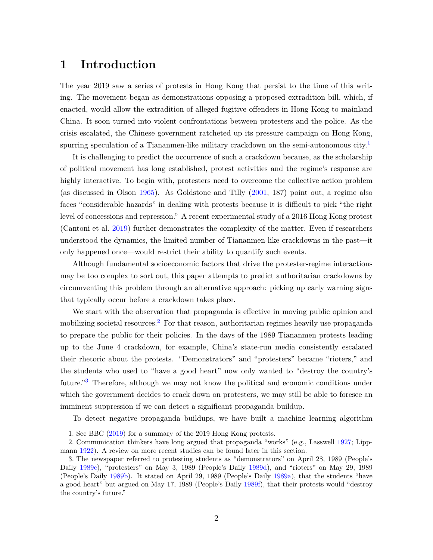# **1 Introduction**

The year 2019 saw a series of protests in Hong Kong that persist to the time of this writing. The movement began as demonstrations opposing a proposed extradition bill, which, if enacted, would allow the extradition of alleged fugitive offenders in Hong Kong to mainland China. It soon turned into violent confrontations between protesters and the police. As the crisis escalated, the Chinese government ratcheted up its pressure campaign on Hong Kong, spurring speculation of a Tiananmen-like military crackdown on the semi-autonomous city.<sup>[1](#page-1-0)</sup>

It is challenging to predict the occurrence of such a crackdown because, as the scholarship of political movement has long established, protest activities and the regime's response are highly interactive. To begin with, protesters need to overcome the collective action problem (as discussed in Olson [1965\)](#page-18-0). As Goldstone and Tilly [\(2001,](#page-17-0) 187) point out, a regime also faces "considerable hazards" in dealing with protests because it is difficult to pick "the right level of concessions and repression." A recent experimental study of a 2016 Hong Kong protest (Cantoni et al. [2019\)](#page-17-1) further demonstrates the complexity of the matter. Even if researchers understood the dynamics, the limited number of Tiananmen-like crackdowns in the past—it only happened once—would restrict their ability to quantify such events.

Although fundamental socioeconomic factors that drive the protester-regime interactions may be too complex to sort out, this paper attempts to predict authoritarian crackdowns by circumventing this problem through an alternative approach: picking up early warning signs that typically occur before a crackdown takes place.

We start with the observation that propaganda is effective in moving public opinion and mobilizing societal resources.<sup>[2](#page-1-1)</sup> For that reason, authoritarian regimes heavily use propaganda to prepare the public for their policies. In the days of the 1989 Tiananmen protests leading up to the June 4 crackdown, for example, China's state-run media consistently escalated their rhetoric about the protests. "Demonstrators" and "protesters" became "rioters," and the students who used to "have a good heart" now only wanted to "destroy the country's future."[3](#page-1-2) Therefore, although we may not know the political and economic conditions under which the government decides to crack down on protesters, we may still be able to foresee an imminent suppression if we can detect a significant propaganda buildup.

To detect negative propaganda buildups, we have built a machine learning algorithm

<span id="page-1-1"></span><span id="page-1-0"></span><sup>1.</sup> See BBC [\(2019\)](#page-17-2) for a summary of the 2019 Hong Kong protests.

<sup>2.</sup> Communication thinkers have long argued that propaganda "works" (e.g., Lasswell [1927;](#page-18-1) Lippmann [1922\)](#page-18-2). A review on more recent studies can be found later in this section.

<span id="page-1-2"></span><sup>3.</sup> The newspaper referred to protesting students as "demonstrators" on April 28, 1989 (People's Daily [1989c\)](#page-18-3), "protesters" on May 3, 1989 (People's Daily [1989d\)](#page-19-0), and "rioters" on May 29, 1989 (People's Daily [1989b\)](#page-18-4). It stated on April 29, 1989 (People's Daily [1989a\)](#page-18-5), that the students "have a good heart" but argued on May 17, 1989 (People's Daily [1989f\)](#page-19-1), that their protests would "destroy the country's future."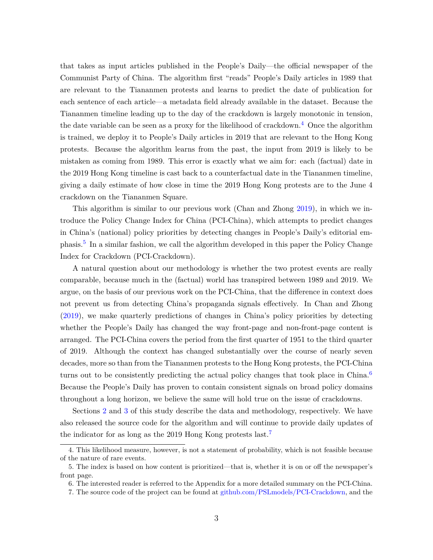that takes as input articles published in the People's Daily—the official newspaper of the Communist Party of China. The algorithm first "reads" People's Daily articles in 1989 that are relevant to the Tiananmen protests and learns to predict the date of publication for each sentence of each article—a metadata field already available in the dataset. Because the Tiananmen timeline leading up to the day of the crackdown is largely monotonic in tension, the date variable can be seen as a proxy for the likelihood of crackdown.<sup>[4](#page-2-0)</sup> Once the algorithm is trained, we deploy it to People's Daily articles in 2019 that are relevant to the Hong Kong protests. Because the algorithm learns from the past, the input from 2019 is likely to be mistaken as coming from 1989. This error is exactly what we aim for: each (factual) date in the 2019 Hong Kong timeline is cast back to a counterfactual date in the Tiananmen timeline, giving a daily estimate of how close in time the 2019 Hong Kong protests are to the June 4 crackdown on the Tiananmen Square.

This algorithm is similar to our previous work (Chan and Zhong [2019\)](#page-17-3), in which we introduce the Policy Change Index for China (PCI-China), which attempts to predict changes in China's (national) policy priorities by detecting changes in People's Daily's editorial em-phasis.<sup>[5](#page-2-1)</sup> In a similar fashion, we call the algorithm developed in this paper the Policy Change Index for Crackdown (PCI-Crackdown).

A natural question about our methodology is whether the two protest events are really comparable, because much in the (factual) world has transpired between 1989 and 2019. We argue, on the basis of our previous work on the PCI-China, that the difference in context does not prevent us from detecting China's propaganda signals effectively. In Chan and Zhong [\(2019\)](#page-17-3), we make quarterly predictions of changes in China's policy priorities by detecting whether the People's Daily has changed the way front-page and non-front-page content is arranged. The PCI-China covers the period from the first quarter of 1951 to the third quarter of 2019. Although the context has changed substantially over the course of nearly seven decades, more so than from the Tiananmen protests to the Hong Kong protests, the PCI-China turns out to be consistently predicting the actual policy changes that took place in China.<sup>[6](#page-2-2)</sup> Because the People's Daily has proven to contain consistent signals on broad policy domains throughout a long horizon, we believe the same will hold true on the issue of crackdowns.

Sections [2](#page-4-0) and [3](#page-5-0) of this study describe the data and methodology, respectively. We have also released the source code for the algorithm and will continue to provide daily updates of the indicator for as long as the 2019 Hong Kong protests last.<sup>[7](#page-2-3)</sup>

<span id="page-2-0"></span><sup>4.</sup> This likelihood measure, however, is not a statement of probability, which is not feasible because of the nature of rare events.

<span id="page-2-1"></span><sup>5.</sup> The index is based on how content is prioritized—that is, whether it is on or off the newspaper's front page.

<span id="page-2-2"></span><sup>6.</sup> The interested reader is referred to the Appendix for a more detailed summary on the PCI-China.

<span id="page-2-3"></span><sup>7.</sup> The source code of the project can be found at [github.com/PSLmodels/PCI-Crackdown,](https://github.com/PSLmodels/PCI-Crackdown) and the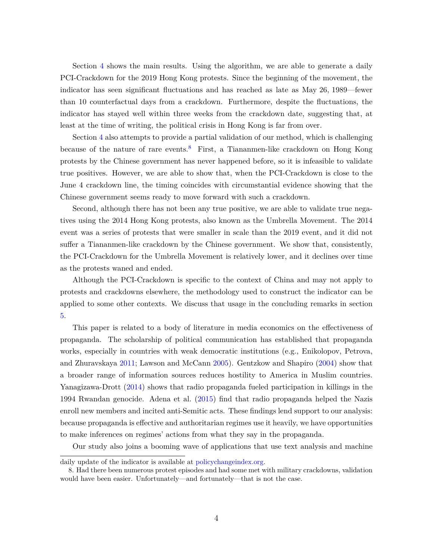Section [4](#page-11-0) shows the main results. Using the algorithm, we are able to generate a daily PCI-Crackdown for the 2019 Hong Kong protests. Since the beginning of the movement, the indicator has seen significant fluctuations and has reached as late as May 26, 1989—fewer than 10 counterfactual days from a crackdown. Furthermore, despite the fluctuations, the indicator has stayed well within three weeks from the crackdown date, suggesting that, at least at the time of writing, the political crisis in Hong Kong is far from over.

Section [4](#page-11-0) also attempts to provide a partial validation of our method, which is challenging because of the nature of rare events.<sup>[8](#page-3-0)</sup> First, a Tiananmen-like crackdown on Hong Kong protests by the Chinese government has never happened before, so it is infeasible to validate true positives. However, we are able to show that, when the PCI-Crackdown is close to the June 4 crackdown line, the timing coincides with circumstantial evidence showing that the Chinese government seems ready to move forward with such a crackdown.

Second, although there has not been any true positive, we are able to validate true negatives using the 2014 Hong Kong protests, also known as the Umbrella Movement. The 2014 event was a series of protests that were smaller in scale than the 2019 event, and it did not suffer a Tiananmen-like crackdown by the Chinese government. We show that, consistently, the PCI-Crackdown for the Umbrella Movement is relatively lower, and it declines over time as the protests waned and ended.

Although the PCI-Crackdown is specific to the context of China and may not apply to protests and crackdowns elsewhere, the methodology used to construct the indicator can be applied to some other contexts. We discuss that usage in the concluding remarks in section [5.](#page-15-0)

This paper is related to a body of literature in media economics on the effectiveness of propaganda. The scholarship of political communication has established that propaganda works, especially in countries with weak democratic institutions (e.g., Enikolopov, Petrova, and Zhuravskaya [2011;](#page-17-4) Lawson and McCann [2005\)](#page-18-6). Gentzkow and Shapiro [\(2004\)](#page-17-5) show that a broader range of information sources reduces hostility to America in Muslim countries. Yanagizawa-Drott [\(2014\)](#page-19-2) shows that radio propaganda fueled participation in killings in the 1994 Rwandan genocide. Adena et al. [\(2015\)](#page-17-6) find that radio propaganda helped the Nazis enroll new members and incited anti-Semitic acts. These findings lend support to our analysis: because propaganda is effective and authoritarian regimes use it heavily, we have opportunities to make inferences on regimes' actions from what they say in the propaganda.

Our study also joins a booming wave of applications that use text analysis and machine

daily update of the indicator is available at [policychangeindex.org.](https://policychangeindex.org)

<span id="page-3-0"></span><sup>8.</sup> Had there been numerous protest episodes and had some met with military crackdowns, validation would have been easier. Unfortunately—and fortunately—that is not the case.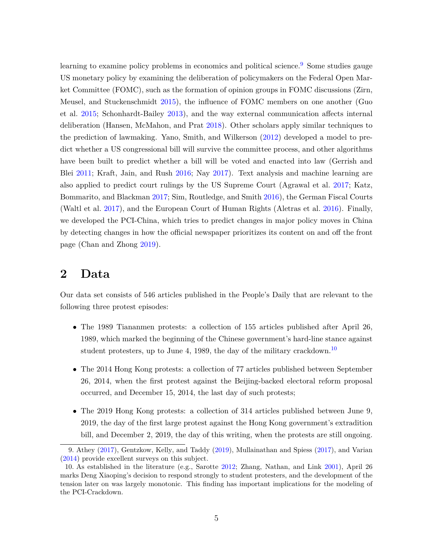learning to examine policy problems in economics and political science.<sup>[9](#page-4-1)</sup> Some studies gauge US monetary policy by examining the deliberation of policymakers on the Federal Open Market Committee (FOMC), such as the formation of opinion groups in FOMC discussions (Zirn, Meusel, and Stuckenschmidt [2015\)](#page-19-3), the influence of FOMC members on one another (Guo et al. [2015;](#page-18-7) Schonhardt-Bailey [2013\)](#page-19-4), and the way external communication affects internal deliberation (Hansen, McMahon, and Prat [2018\)](#page-18-8). Other scholars apply similar techniques to the prediction of lawmaking. Yano, Smith, and Wilkerson [\(2012\)](#page-19-5) developed a model to predict whether a US congressional bill will survive the committee process, and other algorithms have been built to predict whether a bill will be voted and enacted into law (Gerrish and Blei [2011;](#page-17-7) Kraft, Jain, and Rush [2016;](#page-18-9) Nay [2017\)](#page-18-10). Text analysis and machine learning are also applied to predict court rulings by the US Supreme Court (Agrawal et al. [2017;](#page-17-8) Katz, Bommarito, and Blackman [2017;](#page-18-11) Sim, Routledge, and Smith [2016\)](#page-19-6), the German Fiscal Courts (Waltl et al. [2017\)](#page-19-7), and the European Court of Human Rights (Aletras et al. [2016\)](#page-17-9). Finally, we developed the PCI-China, which tries to predict changes in major policy moves in China by detecting changes in how the official newspaper prioritizes its content on and off the front page (Chan and Zhong [2019\)](#page-17-3).

## <span id="page-4-0"></span>**2 Data**

Our data set consists of 546 articles published in the People's Daily that are relevant to the following three protest episodes:

- The 1989 Tiananmen protests: a collection of 155 articles published after April 26, 1989, which marked the beginning of the Chinese government's hard-line stance against student protesters, up to June 4, 1989, the day of the military crackdown.<sup>[10](#page-4-2)</sup>
- The 2014 Hong Kong protests: a collection of 77 articles published between September 26, 2014, when the first protest against the Beijing-backed electoral reform proposal occurred, and December 15, 2014, the last day of such protests;
- The 2019 Hong Kong protests: a collection of 314 articles published between June 9, 2019, the day of the first large protest against the Hong Kong government's extradition bill, and December 2, 2019, the day of this writing, when the protests are still ongoing.

<span id="page-4-1"></span><sup>9.</sup> Athey [\(2017\)](#page-17-10), Gentzkow, Kelly, and Taddy [\(2019\)](#page-17-11), Mullainathan and Spiess [\(2017\)](#page-18-12), and Varian [\(2014\)](#page-19-8) provide excellent surveys on this subject.

<span id="page-4-2"></span><sup>10.</sup> As established in the literature (e.g., Sarotte [2012;](#page-19-9) Zhang, Nathan, and Link [2001\)](#page-19-10), April 26 marks Deng Xiaoping's decision to respond strongly to student protesters, and the development of the tension later on was largely monotonic. This finding has important implications for the modeling of the PCI-Crackdown.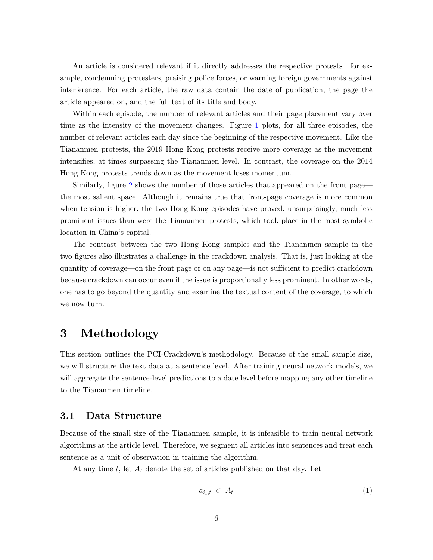An article is considered relevant if it directly addresses the respective protests—for example, condemning protesters, praising police forces, or warning foreign governments against interference. For each article, the raw data contain the date of publication, the page the article appeared on, and the full text of its title and body.

Within each episode, the number of relevant articles and their page placement vary over time as the intensity of the movement changes. Figure [1](#page-6-0) plots, for all three episodes, the number of relevant articles each day since the beginning of the respective movement. Like the Tiananmen protests, the 2019 Hong Kong protests receive more coverage as the movement intensifies, at times surpassing the Tiananmen level. In contrast, the coverage on the 2014 Hong Kong protests trends down as the movement loses momentum.

Similarly, figure [2](#page-6-1) shows the number of those articles that appeared on the front page the most salient space. Although it remains true that front-page coverage is more common when tension is higher, the two Hong Kong episodes have proved, unsurprisingly, much less prominent issues than were the Tiananmen protests, which took place in the most symbolic location in China's capital.

The contrast between the two Hong Kong samples and the Tiananmen sample in the two figures also illustrates a challenge in the crackdown analysis. That is, just looking at the quantity of coverage—on the front page or on any page—is not sufficient to predict crackdown because crackdown can occur even if the issue is proportionally less prominent. In other words, one has to go beyond the quantity and examine the textual content of the coverage, to which we now turn.

# <span id="page-5-0"></span>**3 Methodology**

This section outlines the PCI-Crackdown's methodology. Because of the small sample size, we will structure the text data at a sentence level. After training neural network models, we will aggregate the sentence-level predictions to a date level before mapping any other timeline to the Tiananmen timeline.

### **3.1 Data Structure**

Because of the small size of the Tiananmen sample, it is infeasible to train neural network algorithms at the article level. Therefore, we segment all articles into sentences and treat each sentence as a unit of observation in training the algorithm.

At any time *t*, let *A<sup>t</sup>* denote the set of articles published on that day. Let

$$
a_{i_t, t} \in A_t \tag{1}
$$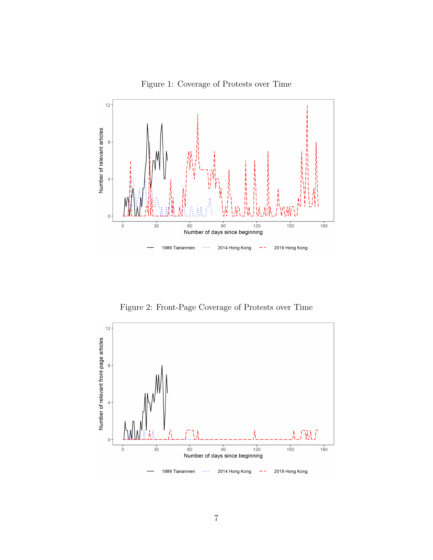Figure 1: Coverage of Protests over Time

<span id="page-6-0"></span>

Figure 2: Front-Page Coverage of Protests over Time

<span id="page-6-1"></span>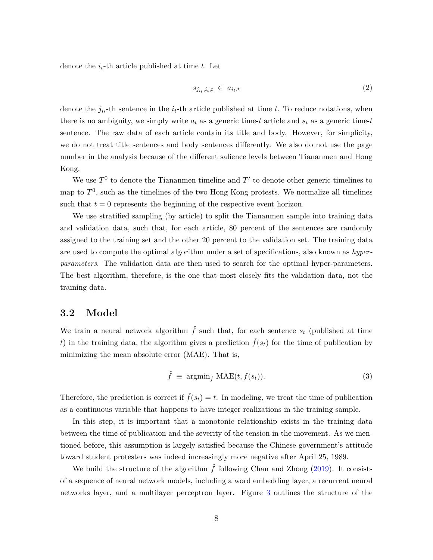denote the  $i_t$ -th article published at time  $t$ . Let

$$
s_{j_{i_t},i_t,t} \in a_{i_t,t} \tag{2}
$$

denote the  $j_{i_t}$ -th sentence in the  $i_t$ -th article published at time *t*. To reduce notations, when there is no ambiguity, we simply write  $a_t$  as a generic time-*t* article and  $s_t$  as a generic time-*t* sentence. The raw data of each article contain its title and body. However, for simplicity, we do not treat title sentences and body sentences differently. We also do not use the page number in the analysis because of the different salience levels between Tiananmen and Hong Kong.

We use  $T^0$  to denote the Tiananmen timeline and  $T'$  to denote other generic timelines to map to  $T^0$ , such as the timelines of the two Hong Kong protests. We normalize all timelines such that  $t = 0$  represents the beginning of the respective event horizon.

We use stratified sampling (by article) to split the Tiananmen sample into training data and validation data, such that, for each article, 80 percent of the sentences are randomly assigned to the training set and the other 20 percent to the validation set. The training data are used to compute the optimal algorithm under a set of specifications, also known as *hyperparameters*. The validation data are then used to search for the optimal hyper-parameters. The best algorithm, therefore, is the one that most closely fits the validation data, not the training data.

### **3.2 Model**

We train a neural network algorithm  $\hat{f}$  such that, for each sentence  $s_t$  (published at time *t*) in the training data, the algorithm gives a prediction  $\hat{f}(s_t)$  for the time of publication by minimizing the mean absolute error (MAE). That is,

$$
\hat{f} \equiv \operatorname{argmin}_{f} \text{MAE}(t, f(s_t)). \tag{3}
$$

Therefore, the prediction is correct if  $\hat{f}(s_t) = t$ . In modeling, we treat the time of publication as a continuous variable that happens to have integer realizations in the training sample.

In this step, it is important that a monotonic relationship exists in the training data between the time of publication and the severity of the tension in the movement. As we mentioned before, this assumption is largely satisfied because the Chinese government's attitude toward student protesters was indeed increasingly more negative after April 25, 1989.

We build the structure of the algorithm  $\hat{f}$  following Chan and Zhong [\(2019\)](#page-17-3). It consists of a sequence of neural network models, including a word embedding layer, a recurrent neural networks layer, and a multilayer perceptron layer. Figure [3](#page-8-0) outlines the structure of the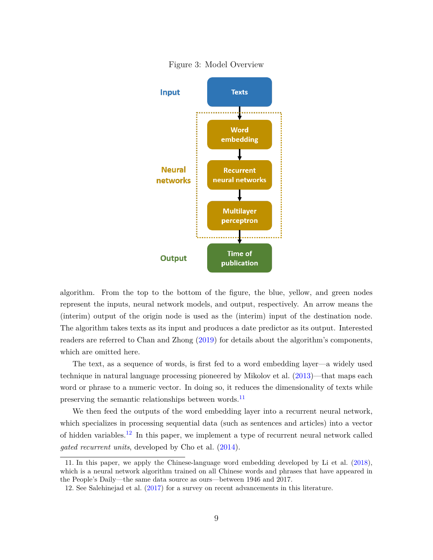<span id="page-8-0"></span>

Figure 3: Model Overview

algorithm. From the top to the bottom of the figure, the blue, yellow, and green nodes represent the inputs, neural network models, and output, respectively. An arrow means the (interim) output of the origin node is used as the (interim) input of the destination node. The algorithm takes texts as its input and produces a date predictor as its output. Interested readers are referred to Chan and Zhong [\(2019\)](#page-17-3) for details about the algorithm's components, which are omitted here.

The text, as a sequence of words, is first fed to a word embedding layer—a widely used technique in natural language processing pioneered by Mikolov et al. [\(2013\)](#page-18-13)—that maps each word or phrase to a numeric vector. In doing so, it reduces the dimensionality of texts while preserving the semantic relationships between words.<sup>[11](#page-8-1)</sup>

We then feed the outputs of the word embedding layer into a recurrent neural network, which specializes in processing sequential data (such as sentences and articles) into a vector of hidden variables.<sup>[12](#page-8-2)</sup> In this paper, we implement a type of recurrent neural network called *gated recurrent units*, developed by Cho et al. [\(2014\)](#page-17-12).

<span id="page-8-1"></span><sup>11.</sup> In this paper, we apply the Chinese-language word embedding developed by Li et al. [\(2018\)](#page-18-14), which is a neural network algorithm trained on all Chinese words and phrases that have appeared in the People's Daily—the same data source as ours—between 1946 and 2017.

<span id="page-8-2"></span><sup>12.</sup> See Salehinejad et al. [\(2017\)](#page-19-11) for a survey on recent advancements in this literature.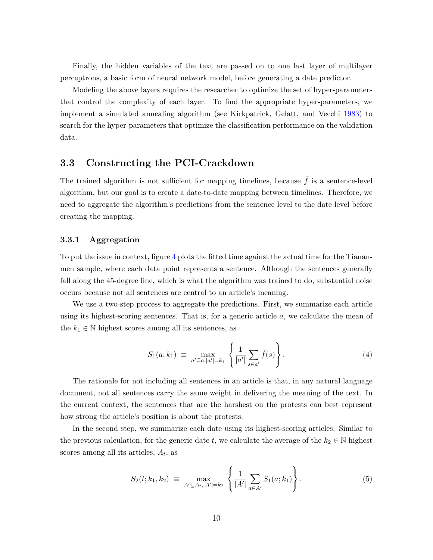Finally, the hidden variables of the text are passed on to one last layer of multilayer perceptrons, a basic form of neural network model, before generating a date predictor.

Modeling the above layers requires the researcher to optimize the set of hyper-parameters that control the complexity of each layer. To find the appropriate hyper-parameters, we implement a simulated annealing algorithm (see Kirkpatrick, Gelatt, and Vecchi [1983\)](#page-18-15) to search for the hyper-parameters that optimize the classification performance on the validation data.

### **3.3 Constructing the PCI-Crackdown**

The trained algorithm is not sufficient for mapping timelines, because  $\hat{f}$  is a sentence-level algorithm, but our goal is to create a date-to-date mapping between timelines. Therefore, we need to aggregate the algorithm's predictions from the sentence level to the date level before creating the mapping.

#### **3.3.1 Aggregation**

To put the issue in context, figure [4](#page-10-0) plots the fitted time against the actual time for the Tiananmen sample, where each data point represents a sentence. Although the sentences generally fall along the 45-degree line, which is what the algorithm was trained to do, substantial noise occurs because not all sentences are central to an article's meaning.

We use a two-step process to aggregate the predictions. First, we summarize each article using its highest-scoring sentences. That is, for a generic article *a*, we calculate the mean of the  $k_1 \in \mathbb{N}$  highest scores among all its sentences, as

$$
S_1(a;k_1) \equiv \max_{a' \subseteq a, |a'| = k_1} \left\{ \frac{1}{|a'|} \sum_{s \in a'} \hat{f}(s) \right\}.
$$
 (4)

The rationale for not including all sentences in an article is that, in any natural language document, not all sentences carry the same weight in delivering the meaning of the text. In the current context, the sentences that are the harshest on the protests can best represent how strong the article's position is about the protests.

In the second step, we summarize each date using its highest-scoring articles. Similar to the previous calculation, for the generic date *t*, we calculate the average of the  $k_2 \in \mathbb{N}$  highest scores among all its articles, *A<sup>t</sup>* , as

<span id="page-9-0"></span>
$$
S_2(t; k_1, k_2) \equiv \max_{A' \subseteq A_t, |A'| = k_2} \left\{ \frac{1}{|A'|} \sum_{a \in A'} S_1(a; k_1) \right\}.
$$
 (5)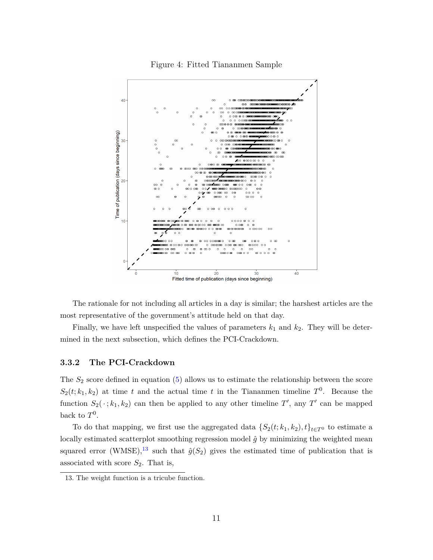#### Figure 4: Fitted Tiananmen Sample

<span id="page-10-0"></span>

The rationale for not including all articles in a day is similar; the harshest articles are the most representative of the government's attitude held on that day.

Finally, we have left unspecified the values of parameters  $k_1$  and  $k_2$ . They will be determined in the next subsection, which defines the PCI-Crackdown.

#### **3.3.2 The PCI-Crackdown**

The *S*<sup>2</sup> score defined in equation [\(5\)](#page-9-0) allows us to estimate the relationship between the score  $S_2(t; k_1, k_2)$  at time *t* and the actual time *t* in the Tiananmen timeline  $T^0$ . Because the function  $S_2(\cdot; k_1, k_2)$  can then be applied to any other timeline  $T'$ , any  $T'$  can be mapped back to  $T^0$ .

To do that mapping, we first use the aggregated data  $\{S_2(t; k_1, k_2), t\}_{t \in T^0}$  to estimate a locally estimated scatterplot smoothing regression model  $\hat{g}$  by minimizing the weighted mean squared error (WMSE),<sup>[13](#page-10-1)</sup> such that  $\hat{g}(S_2)$  gives the estimated time of publication that is associated with score *S*2. That is,

<span id="page-10-1"></span><sup>13.</sup> The weight function is a tricube function.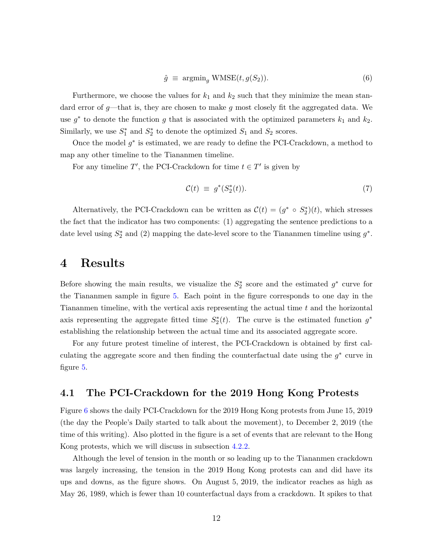$$
\hat{g} \equiv \operatorname{argmin}_{g} \text{WMSE}(t, g(S_2)). \tag{6}
$$

Furthermore, we choose the values for  $k_1$  and  $k_2$  such that they minimize the mean standard error of *g*—that is, they are chosen to make *g* most closely fit the aggregated data. We use  $g^*$  to denote the function  $g$  that is associated with the optimized parameters  $k_1$  and  $k_2$ . Similarly, we use  $S_1^*$  and  $S_2^*$  to denote the optimized  $S_1$  and  $S_2$  scores.

Once the model  $g^*$  is estimated, we are ready to define the PCI-Crackdown, a method to map any other timeline to the Tiananmen timeline.

For any timeline  $T'$ , the PCI-Crackdown for time  $t \in T'$  is given by

$$
\mathcal{C}(t) \equiv g^*(S_2^*(t)). \tag{7}
$$

Alternatively, the PCI-Crackdown can be written as  $\mathcal{C}(t) = (g^* \circ S_2^*)(t)$ , which stresses the fact that the indicator has two components: (1) aggregating the sentence predictions to a date level using  $S_2^*$  and (2) mapping the date-level score to the Tiananmen timeline using  $g^*$ .

### <span id="page-11-0"></span>**4 Results**

Before showing the main results, we visualize the  $S_2^*$  score and the estimated  $g^*$  curve for the Tiananmen sample in figure [5.](#page-12-0) Each point in the figure corresponds to one day in the Tiananmen timeline, with the vertical axis representing the actual time *t* and the horizontal axis representing the aggregate fitted time  $S_2^*(t)$ . The curve is the estimated function  $g^*$ establishing the relationship between the actual time and its associated aggregate score.

For any future protest timeline of interest, the PCI-Crackdown is obtained by first calculating the aggregate score and then finding the counterfactual date using the  $g^*$  curve in figure [5.](#page-12-0)

### **4.1 The PCI-Crackdown for the 2019 Hong Kong Protests**

Figure [6](#page-13-0) shows the daily PCI-Crackdown for the 2019 Hong Kong protests from June 15, 2019 (the day the People's Daily started to talk about the movement), to December 2, 2019 (the time of this writing). Also plotted in the figure is a set of events that are relevant to the Hong Kong protests, which we will discuss in subsection [4.2.2.](#page-14-0)

Although the level of tension in the month or so leading up to the Tiananmen crackdown was largely increasing, the tension in the 2019 Hong Kong protests can and did have its ups and downs, as the figure shows. On August 5, 2019, the indicator reaches as high as May 26, 1989, which is fewer than 10 counterfactual days from a crackdown. It spikes to that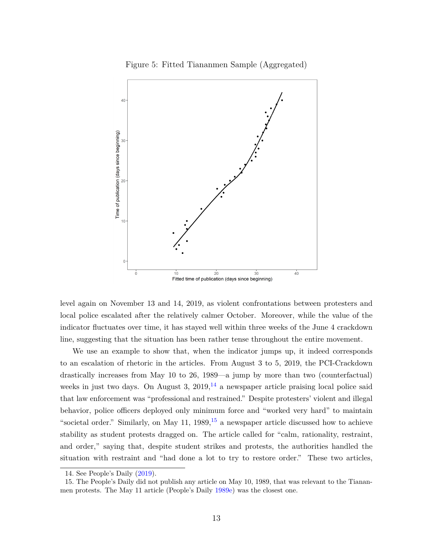<span id="page-12-0"></span>

Figure 5: Fitted Tiananmen Sample (Aggregated)

level again on November 13 and 14, 2019, as violent confrontations between protesters and local police escalated after the relatively calmer October. Moreover, while the value of the indicator fluctuates over time, it has stayed well within three weeks of the June 4 crackdown line, suggesting that the situation has been rather tense throughout the entire movement.

We use an example to show that, when the indicator jumps up, it indeed corresponds to an escalation of rhetoric in the articles. From August 3 to 5, 2019, the PCI-Crackdown drastically increases from May 10 to 26, 1989—a jump by more than two (counterfactual) weeks in just two days. On August 3,  $2019$ ,  $^{14}$  $^{14}$  $^{14}$  a newspaper article praising local police said that law enforcement was "professional and restrained." Despite protesters' violent and illegal behavior, police officers deployed only minimum force and "worked very hard" to maintain "societal order." Similarly, on May 11,  $1989$ ,  $15$  a newspaper article discussed how to achieve stability as student protests dragged on. The article called for "calm, rationality, restraint, and order," saying that, despite student strikes and protests, the authorities handled the situation with restraint and "had done a lot to try to restore order." These two articles,

<span id="page-12-2"></span><span id="page-12-1"></span><sup>14.</sup> See People's Daily [\(2019\)](#page-19-12).

<sup>15.</sup> The People's Daily did not publish any article on May 10, 1989, that was relevant to the Tiananmen protests. The May 11 article (People's Daily [1989e\)](#page-19-13) was the closest one.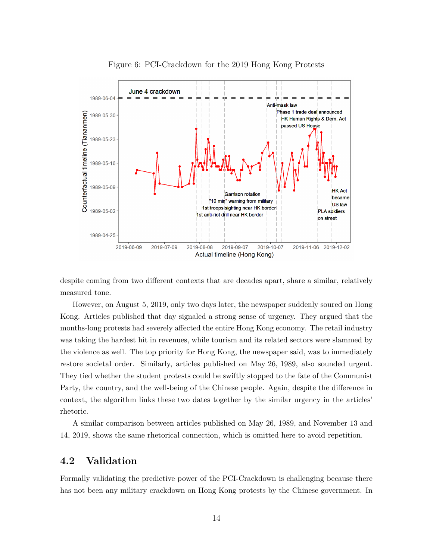<span id="page-13-0"></span>

Figure 6: PCI-Crackdown for the 2019 Hong Kong Protests

despite coming from two different contexts that are decades apart, share a similar, relatively measured tone.

However, on August 5, 2019, only two days later, the newspaper suddenly soured on Hong Kong. Articles published that day signaled a strong sense of urgency. They argued that the months-long protests had severely affected the entire Hong Kong economy. The retail industry was taking the hardest hit in revenues, while tourism and its related sectors were slammed by the violence as well. The top priority for Hong Kong, the newspaper said, was to immediately restore societal order. Similarly, articles published on May 26, 1989, also sounded urgent. They tied whether the student protests could be swiftly stopped to the fate of the Communist Party, the country, and the well-being of the Chinese people. Again, despite the difference in context, the algorithm links these two dates together by the similar urgency in the articles' rhetoric.

A similar comparison between articles published on May 26, 1989, and November 13 and 14, 2019, shows the same rhetorical connection, which is omitted here to avoid repetition.

### **4.2 Validation**

Formally validating the predictive power of the PCI-Crackdown is challenging because there has not been any military crackdown on Hong Kong protests by the Chinese government. In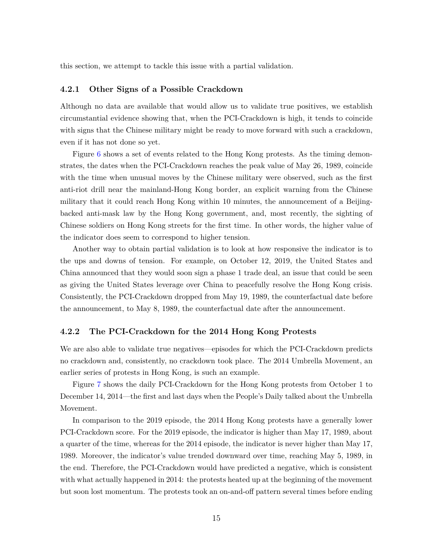this section, we attempt to tackle this issue with a partial validation.

#### **4.2.1 Other Signs of a Possible Crackdown**

Although no data are available that would allow us to validate true positives, we establish circumstantial evidence showing that, when the PCI-Crackdown is high, it tends to coincide with signs that the Chinese military might be ready to move forward with such a crackdown, even if it has not done so yet.

Figure [6](#page-13-0) shows a set of events related to the Hong Kong protests. As the timing demonstrates, the dates when the PCI-Crackdown reaches the peak value of May 26, 1989, coincide with the time when unusual moves by the Chinese military were observed, such as the first anti-riot drill near the mainland-Hong Kong border, an explicit warning from the Chinese military that it could reach Hong Kong within 10 minutes, the announcement of a Beijingbacked anti-mask law by the Hong Kong government, and, most recently, the sighting of Chinese soldiers on Hong Kong streets for the first time. In other words, the higher value of the indicator does seem to correspond to higher tension.

Another way to obtain partial validation is to look at how responsive the indicator is to the ups and downs of tension. For example, on October 12, 2019, the United States and China announced that they would soon sign a phase 1 trade deal, an issue that could be seen as giving the United States leverage over China to peacefully resolve the Hong Kong crisis. Consistently, the PCI-Crackdown dropped from May 19, 1989, the counterfactual date before the announcement, to May 8, 1989, the counterfactual date after the announcement.

#### <span id="page-14-0"></span>**4.2.2 The PCI-Crackdown for the 2014 Hong Kong Protests**

We are also able to validate true negatives—episodes for which the PCI-Crackdown predicts no crackdown and, consistently, no crackdown took place. The 2014 Umbrella Movement, an earlier series of protests in Hong Kong, is such an example.

Figure [7](#page-15-1) shows the daily PCI-Crackdown for the Hong Kong protests from October 1 to December 14, 2014—the first and last days when the People's Daily talked about the Umbrella Movement.

In comparison to the 2019 episode, the 2014 Hong Kong protests have a generally lower PCI-Crackdown score. For the 2019 episode, the indicator is higher than May 17, 1989, about a quarter of the time, whereas for the 2014 episode, the indicator is never higher than May 17, 1989. Moreover, the indicator's value trended downward over time, reaching May 5, 1989, in the end. Therefore, the PCI-Crackdown would have predicted a negative, which is consistent with what actually happened in 2014: the protests heated up at the beginning of the movement but soon lost momentum. The protests took an on-and-off pattern several times before ending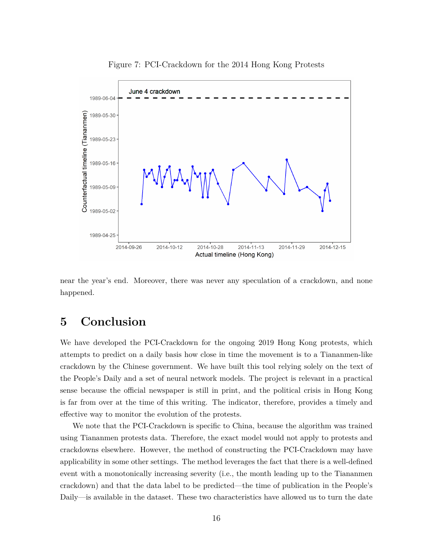<span id="page-15-1"></span>

Figure 7: PCI-Crackdown for the 2014 Hong Kong Protests

near the year's end. Moreover, there was never any speculation of a crackdown, and none happened.

# <span id="page-15-0"></span>**5 Conclusion**

We have developed the PCI-Crackdown for the ongoing 2019 Hong Kong protests, which attempts to predict on a daily basis how close in time the movement is to a Tiananmen-like crackdown by the Chinese government. We have built this tool relying solely on the text of the People's Daily and a set of neural network models. The project is relevant in a practical sense because the official newspaper is still in print, and the political crisis in Hong Kong is far from over at the time of this writing. The indicator, therefore, provides a timely and effective way to monitor the evolution of the protests.

We note that the PCI-Crackdown is specific to China, because the algorithm was trained using Tiananmen protests data. Therefore, the exact model would not apply to protests and crackdowns elsewhere. However, the method of constructing the PCI-Crackdown may have applicability in some other settings. The method leverages the fact that there is a well-defined event with a monotonically increasing severity (i.e., the month leading up to the Tiananmen crackdown) and that the data label to be predicted—the time of publication in the People's Daily—is available in the dataset. These two characteristics have allowed us to turn the date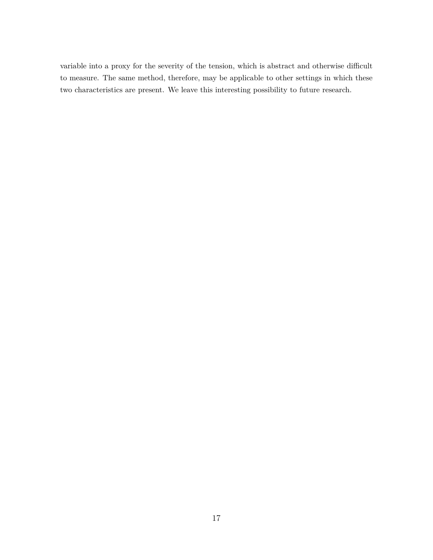variable into a proxy for the severity of the tension, which is abstract and otherwise difficult to measure. The same method, therefore, may be applicable to other settings in which these two characteristics are present. We leave this interesting possibility to future research.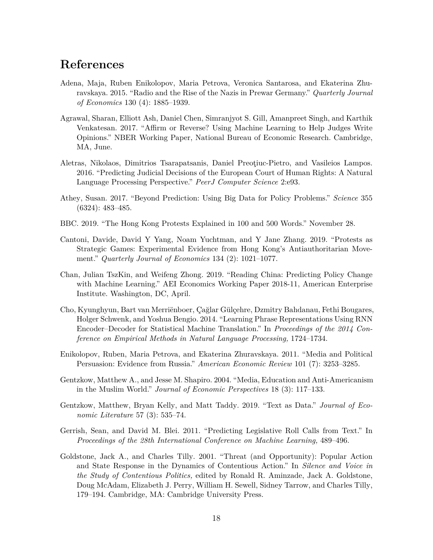# **References**

- <span id="page-17-6"></span>Adena, Maja, Ruben Enikolopov, Maria Petrova, Veronica Santarosa, and Ekaterina Zhuravskaya. 2015. "Radio and the Rise of the Nazis in Prewar Germany." *Quarterly Journal of Economics* 130 (4): 1885–1939.
- <span id="page-17-8"></span>Agrawal, Sharan, Elliott Ash, Daniel Chen, Simranjyot S. Gill, Amanpreet Singh, and Karthik Venkatesan. 2017. "Affirm or Reverse? Using Machine Learning to Help Judges Write Opinions." NBER Working Paper, National Bureau of Economic Research. Cambridge, MA, June.
- <span id="page-17-9"></span>Aletras, Nikolaos, Dimitrios Tsarapatsanis, Daniel Preoţiuc-Pietro, and Vasileios Lampos. 2016. "Predicting Judicial Decisions of the European Court of Human Rights: A Natural Language Processing Perspective." *PeerJ Computer Science* 2:e93.
- <span id="page-17-10"></span>Athey, Susan. 2017. "Beyond Prediction: Using Big Data for Policy Problems." *Science* 355 (6324): 483–485.
- <span id="page-17-2"></span>BBC. 2019. "The Hong Kong Protests Explained in 100 and 500 Words." November 28.
- <span id="page-17-1"></span>Cantoni, Davide, David Y Yang, Noam Yuchtman, and Y Jane Zhang. 2019. "Protests as Strategic Games: Experimental Evidence from Hong Kong's Antiauthoritarian Movement." *Quarterly Journal of Economics* 134 (2): 1021–1077.
- <span id="page-17-3"></span>Chan, Julian TszKin, and Weifeng Zhong. 2019. "Reading China: Predicting Policy Change with Machine Learning." AEI Economics Working Paper 2018-11, American Enterprise Institute. Washington, DC, April.
- <span id="page-17-12"></span>Cho, Kyunghyun, Bart van Merriënboer, Çağlar Gülçehre, Dzmitry Bahdanau, Fethi Bougares, Holger Schwenk, and Yoshua Bengio. 2014. "Learning Phrase Representations Using RNN Encoder–Decoder for Statistical Machine Translation." In *Proceedings of the 2014 Conference on Empirical Methods in Natural Language Processing,* 1724–1734.
- <span id="page-17-4"></span>Enikolopov, Ruben, Maria Petrova, and Ekaterina Zhuravskaya. 2011. "Media and Political Persuasion: Evidence from Russia." *American Economic Review* 101 (7): 3253–3285.
- <span id="page-17-5"></span>Gentzkow, Matthew A., and Jesse M. Shapiro. 2004. "Media, Education and Anti-Americanism in the Muslim World." *Journal of Economic Perspectives* 18 (3): 117–133.
- <span id="page-17-11"></span>Gentzkow, Matthew, Bryan Kelly, and Matt Taddy. 2019. "Text as Data." *Journal of Economic Literature* 57 (3): 535–74.
- <span id="page-17-7"></span>Gerrish, Sean, and David M. Blei. 2011. "Predicting Legislative Roll Calls from Text." In *Proceedings of the 28th International Conference on Machine Learning,* 489–496.
- <span id="page-17-0"></span>Goldstone, Jack A., and Charles Tilly. 2001. "Threat (and Opportunity): Popular Action and State Response in the Dynamics of Contentious Action." In *Silence and Voice in the Study of Contentious Politics,* edited by Ronald R. Aminzade, Jack A. Goldstone, Doug McAdam, Elizabeth J. Perry, William H. Sewell, Sidney Tarrow, and Charles Tilly, 179–194. Cambridge, MA: Cambridge University Press.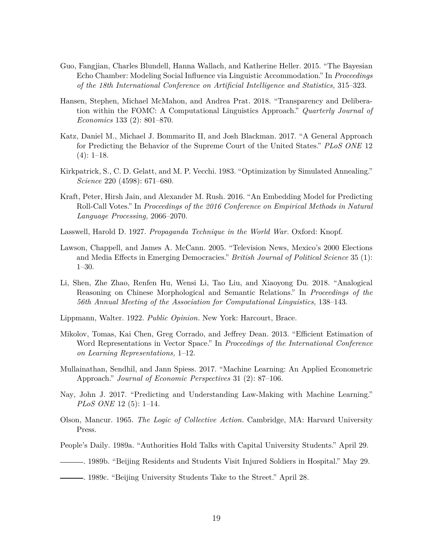- <span id="page-18-7"></span>Guo, Fangjian, Charles Blundell, Hanna Wallach, and Katherine Heller. 2015. "The Bayesian Echo Chamber: Modeling Social Influence via Linguistic Accommodation." In *Proceedings of the 18th International Conference on Artificial Intelligence and Statistics,* 315–323.
- <span id="page-18-8"></span>Hansen, Stephen, Michael McMahon, and Andrea Prat. 2018. "Transparency and Deliberation within the FOMC: A Computational Linguistics Approach." *Quarterly Journal of Economics* 133 (2): 801–870.
- <span id="page-18-11"></span>Katz, Daniel M., Michael J. Bommarito II, and Josh Blackman. 2017. "A General Approach for Predicting the Behavior of the Supreme Court of the United States." *PLoS ONE* 12  $(4): 1-18.$
- <span id="page-18-15"></span>Kirkpatrick, S., C. D. Gelatt, and M. P. Vecchi. 1983. "Optimization by Simulated Annealing." *Science* 220 (4598): 671–680.
- <span id="page-18-9"></span>Kraft, Peter, Hirsh Jain, and Alexander M. Rush. 2016. "An Embedding Model for Predicting Roll-Call Votes." In *Proceedings of the 2016 Conference on Empirical Methods in Natural Language Processing,* 2066–2070.
- <span id="page-18-1"></span>Lasswell, Harold D. 1927. *Propaganda Technique in the World War.* Oxford: Knopf.
- <span id="page-18-6"></span>Lawson, Chappell, and James A. McCann. 2005. "Television News, Mexico's 2000 Elections and Media Effects in Emerging Democracies." *British Journal of Political Science* 35 (1): 1–30.
- <span id="page-18-14"></span>Li, Shen, Zhe Zhao, Renfen Hu, Wensi Li, Tao Liu, and Xiaoyong Du. 2018. "Analogical Reasoning on Chinese Morphological and Semantic Relations." In *Proceedings of the 56th Annual Meeting of the Association for Computational Linguistics,* 138–143.
- <span id="page-18-2"></span>Lippmann, Walter. 1922. *Public Opinion.* New York: Harcourt, Brace.
- <span id="page-18-13"></span>Mikolov, Tomas, Kai Chen, Greg Corrado, and Jeffrey Dean. 2013. "Efficient Estimation of Word Representations in Vector Space." In *Proceedings of the International Conference on Learning Representations,* 1–12.
- <span id="page-18-12"></span>Mullainathan, Sendhil, and Jann Spiess. 2017. "Machine Learning: An Applied Econometric Approach." *Journal of Economic Perspectives* 31 (2): 87–106.
- <span id="page-18-10"></span>Nay, John J. 2017. "Predicting and Understanding Law-Making with Machine Learning." *PLoS ONE* 12 (5): 1–14.
- <span id="page-18-0"></span>Olson, Mancur. 1965. *The Logic of Collective Action.* Cambridge, MA: Harvard University Press.
- <span id="page-18-5"></span>People's Daily. 1989a. "Authorities Hold Talks with Capital University Students." April 29.
- <span id="page-18-4"></span>. 1989b. "Beijing Residents and Students Visit Injured Soldiers in Hospital." May 29.
- <span id="page-18-3"></span>. 1989c. "Beijing University Students Take to the Street." April 28.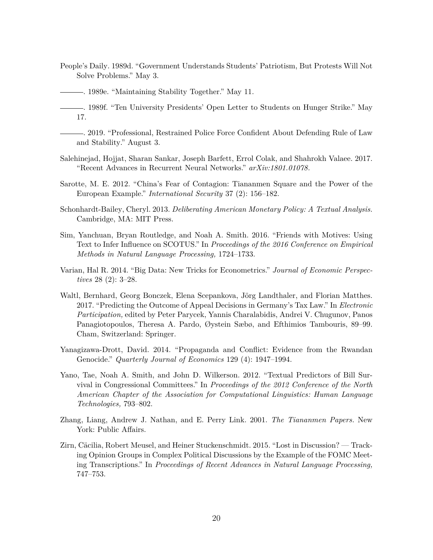- <span id="page-19-0"></span>People's Daily. 1989d. "Government Understands Students' Patriotism, But Protests Will Not Solve Problems." May 3.
	- . 1989e. "Maintaining Stability Together." May 11.
- <span id="page-19-13"></span><span id="page-19-12"></span><span id="page-19-1"></span>. 1989f. "Ten University Presidents' Open Letter to Students on Hunger Strike." May 17.
	- . 2019. "Professional, Restrained Police Force Confident About Defending Rule of Law and Stability." August 3.
- <span id="page-19-11"></span>Salehinejad, Hojjat, Sharan Sankar, Joseph Barfett, Errol Colak, and Shahrokh Valaee. 2017. "Recent Advances in Recurrent Neural Networks." *arXiv:1801.01078.*
- <span id="page-19-9"></span>Sarotte, M. E. 2012. "China's Fear of Contagion: Tiananmen Square and the Power of the European Example." *International Security* 37 (2): 156–182.
- <span id="page-19-4"></span>Schonhardt-Bailey, Cheryl. 2013. *Deliberating American Monetary Policy: A Textual Analysis.* Cambridge, MA: MIT Press.
- <span id="page-19-6"></span>Sim, Yanchuan, Bryan Routledge, and Noah A. Smith. 2016. "Friends with Motives: Using Text to Infer Influence on SCOTUS." In *Proceedings of the 2016 Conference on Empirical Methods in Natural Language Processing,* 1724–1733.
- <span id="page-19-8"></span>Varian, Hal R. 2014. "Big Data: New Tricks for Econometrics." *Journal of Economic Perspectives* 28 (2): 3–28.
- <span id="page-19-7"></span>Waltl, Bernhard, Georg Bonczek, Elena Scepankova, Jörg Landthaler, and Florian Matthes. 2017. "Predicting the Outcome of Appeal Decisions in Germany's Tax Law." In *Electronic Participation,* edited by Peter Parycek, Yannis Charalabidis, Andrei V. Chugunov, Panos Panagiotopoulos, Theresa A. Pardo, Øystein Sæbø, and Efthimios Tambouris, 89–99. Cham, Switzerland: Springer.
- <span id="page-19-2"></span>Yanagizawa-Drott, David. 2014. "Propaganda and Conflict: Evidence from the Rwandan Genocide." *Quarterly Journal of Economics* 129 (4): 1947–1994.
- <span id="page-19-5"></span>Yano, Tae, Noah A. Smith, and John D. Wilkerson. 2012. "Textual Predictors of Bill Survival in Congressional Committees." In *Proceedings of the 2012 Conference of the North American Chapter of the Association for Computational Linguistics: Human Language Technologies,* 793–802.
- <span id="page-19-10"></span>Zhang, Liang, Andrew J. Nathan, and E. Perry Link. 2001. *The Tiananmen Papers.* New York: Public Affairs.
- <span id="page-19-3"></span>Zirn, Cäcilia, Robert Meusel, and Heiner Stuckenschmidt. 2015. "Lost in Discussion? — Tracking Opinion Groups in Complex Political Discussions by the Example of the FOMC Meeting Transcriptions." In *Proceedings of Recent Advances in Natural Language Processing,* 747–753.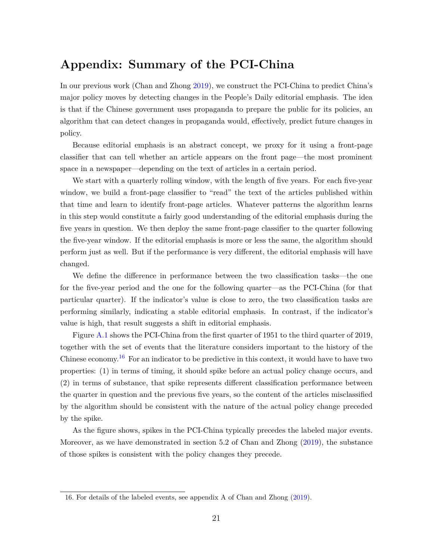# **Appendix: Summary of the PCI-China**

In our previous work (Chan and Zhong [2019\)](#page-17-3), we construct the PCI-China to predict China's major policy moves by detecting changes in the People's Daily editorial emphasis. The idea is that if the Chinese government uses propaganda to prepare the public for its policies, an algorithm that can detect changes in propaganda would, effectively, predict future changes in policy.

Because editorial emphasis is an abstract concept, we proxy for it using a front-page classifier that can tell whether an article appears on the front page—the most prominent space in a newspaper—depending on the text of articles in a certain period.

We start with a quarterly rolling window, with the length of five years. For each five-year window, we build a front-page classifier to "read" the text of the articles published within that time and learn to identify front-page articles. Whatever patterns the algorithm learns in this step would constitute a fairly good understanding of the editorial emphasis during the five years in question. We then deploy the same front-page classifier to the quarter following the five-year window. If the editorial emphasis is more or less the same, the algorithm should perform just as well. But if the performance is very different, the editorial emphasis will have changed.

We define the difference in performance between the two classification tasks—the one for the five-year period and the one for the following quarter—as the PCI-China (for that particular quarter). If the indicator's value is close to zero, the two classification tasks are performing similarly, indicating a stable editorial emphasis. In contrast, if the indicator's value is high, that result suggests a shift in editorial emphasis.

Figure [A.1](#page-21-0) shows the PCI-China from the first quarter of 1951 to the third quarter of 2019, together with the set of events that the literature considers important to the history of the Chinese economy.<sup>[16](#page-20-0)</sup> For an indicator to be predictive in this context, it would have to have two properties: (1) in terms of timing, it should spike before an actual policy change occurs, and (2) in terms of substance, that spike represents different classification performance between the quarter in question and the previous five years, so the content of the articles misclassified by the algorithm should be consistent with the nature of the actual policy change preceded by the spike.

As the figure shows, spikes in the PCI-China typically precedes the labeled major events. Moreover, as we have demonstrated in section 5.2 of Chan and Zhong [\(2019\)](#page-17-3), the substance of those spikes is consistent with the policy changes they precede.

<span id="page-20-0"></span><sup>16.</sup> For details of the labeled events, see appendix A of Chan and Zhong [\(2019\)](#page-17-3).